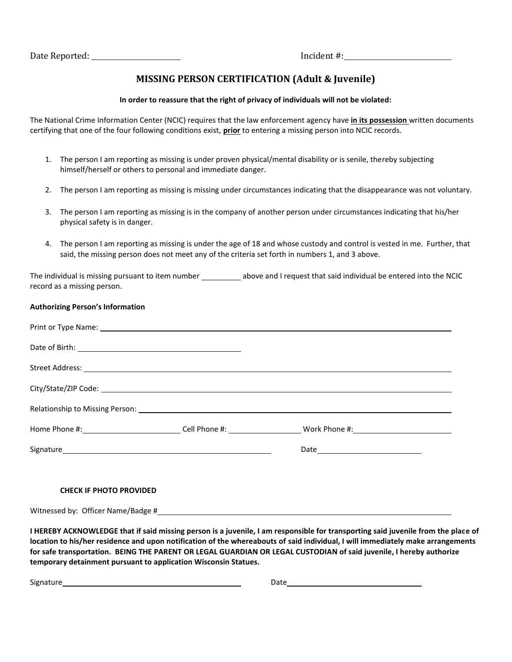## **MISSING PERSON CERTIFICATION (Adult & Juvenile)**

## **In order to reassure that the right of privacy of individuals will not be violated:**

The National Crime Information Center (NCIC) requires that the law enforcement agency have **in its possession** written documents certifying that one of the four following conditions exist, **prior** to entering a missing person into NCIC records.

- 1. The person I am reporting as missing is under proven physical/mental disability or is senile, thereby subjecting himself/herself or others to personal and immediate danger.
- 2. The person I am reporting as missing is missing under circumstances indicating that the disappearance was not voluntary.
- 3. The person I am reporting as missing is in the company of another person under circumstances indicating that his/her physical safety is in danger.
- 4. The person I am reporting as missing is under the age of 18 and whose custody and control is vested in me. Further, that said, the missing person does not meet any of the criteria set forth in numbers 1, and 3 above.

The individual is missing pursuant to item number \_\_\_\_\_\_\_\_\_\_\_\_\_\_\_above and I request that said individual be entered into the NCIC record as a missing person.

## **Authorizing Person's Information**

## **CHECK IF PHOTO PROVIDED**

Witnessed by: Officer Name/Badge #

**I HEREBY ACKNOWLEDGE that if said missing person is a juvenile, I am responsible for transporting said juvenile from the place of location to his/her residence and upon notification of the whereabouts of said individual, I will immediately make arrangements for safe transportation. BEING THE PARENT OR LEGAL GUARDIAN OR LEGAL CUSTODIAN of said juvenile, I hereby authorize temporary detainment pursuant to application Wisconsin Statues.** 

Signature Date Date